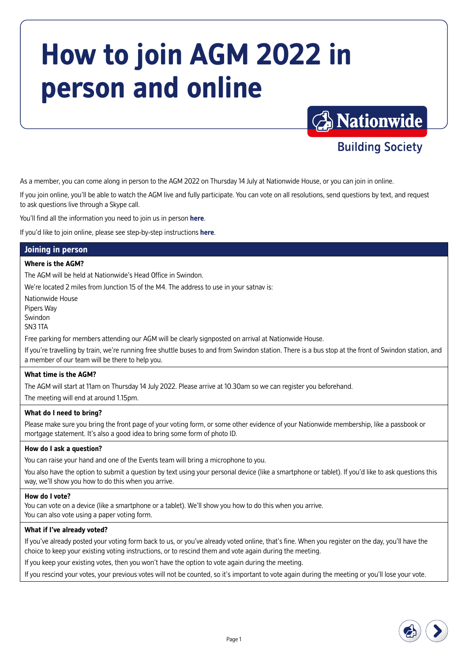# **How to join AGM 2022 in person and online**



**Building Society** 

As a member, you can come along in person to the AGM 2022 on Thursday 14 July at Nationwide House, or you can join in online.

If you join online, you'll be able to watch the AGM live and fully participate. You can vote on all resolutions, send questions by text, and request to ask questions live through a Skype call.

You'll find all the information you need to join us in person **[here](#page-0-0)**.

If you'd like to join online, please see step-by-step instructions **[here](#page-1-0)**.

# **Joining in person**

#### **Where is the AGM?**

The AGM will be held at Nationwide's Head Office in Swindon.

We're located 2 miles from Junction 15 of the M4. The address to use in your satnav is:

Nationwide House

Pipers Way

Swindon

SN3 1TA

Free parking for members attending our AGM will be clearly signposted on arrival at Nationwide House.

If you're travelling by train, we're running free shuttle buses to and from Swindon station. There is a bus stop at the front of Swindon station, and a member of our team will be there to help you.

#### **What time is the AGM?**

The AGM will start at 11am on Thursday 14 July 2022. Please arrive at 10.30am so we can register you beforehand.

The meeting will end at around 1.15pm.

#### **What do I need to bring?**

Please make sure you bring the front page of your voting form, or some other evidence of your Nationwide membership, like a passbook or mortgage statement. It's also a good idea to bring some form of photo ID.

#### **How do I ask a question?**

You can raise your hand and one of the Events team will bring a microphone to you.

You also have the option to submit a question by text using your personal device (like a smartphone or tablet). If you'd like to ask questions this way, we'll show you how to do this when you arrive.

#### **How do I vote?**

You can vote on a device (like a smartphone or a tablet). We'll show you how to do this when you arrive.

You can also vote using a paper voting form.

#### **What if I've already voted?**

If you've already posted your voting form back to us, or you've already voted online, that's fine. When you register on the day, you'll have the choice to keep your existing voting instructions, or to rescind them and vote again during the meeting.

If you keep your existing votes, then you won't have the option to vote again during the meeting.

<span id="page-0-0"></span>If you rescind your votes, your previous votes will not be counted, so it's important to vote again during the meeting or you'll lose your vote.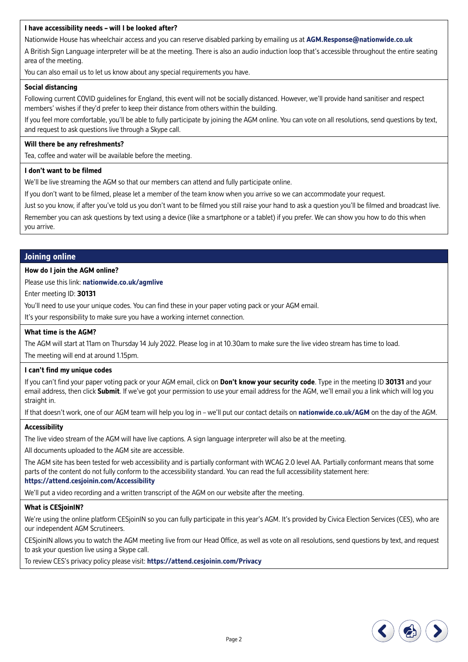#### **I have accessibility needs – will I be looked after?**

Nationwide House has wheelchair access and you can reserve disabled parking by emailing us at **[AGM.Response@nationwide.co.uk](mailto:AGM.Response%40nationwide.co.uk?subject=)**

A British Sign Language interpreter will be at the meeting. There is also an audio induction loop that's accessible throughout the entire seating area of the meeting.

You can also email us to let us know about any special requirements you have.

#### **Social distancing**

Following current COVID guidelines for England, this event will not be socially distanced. However, we'll provide hand sanitiser and respect members' wishes if they'd prefer to keep their distance from others within the building.

If you feel more comfortable, you'll be able to fully participate by joining the AGM online. You can vote on all resolutions, send questions by text, and request to ask questions live through a Skype call.

#### **Will there be any refreshments?**

Tea, coffee and water will be available before the meeting.

#### **I don't want to be filmed**

We'll be live streaming the AGM so that our members can attend and fully participate online.

If you don't want to be filmed, please let a member of the team know when you arrive so we can accommodate your request.

Just so you know, if after you've told us you don't want to be filmed you still raise your hand to ask a question you'll be filmed and broadcast live.

Remember you can ask questions by text using a device (like a smartphone or a tablet) if you prefer. We can show you how to do this when you arrive.

#### **Joining online**

#### **How do I join the AGM online?**

Please use this link: **[nationwide.co.uk/agmlive](http://nationwide.co.uk/agmlive)**

Enter meeting ID: **30131** 

You'll need to use your unique codes. You can find these in your paper voting pack or your AGM email.

It's your responsibility to make sure you have a working internet connection.

#### **What time is the AGM?**

The AGM will start at 11am on Thursday 14 July 2022. Please log in at 10.30am to make sure the live video stream has time to load. The meeting will end at around 1.15pm.

#### **I can't find my unique codes**

If you can't find your paper voting pack or your AGM email, click on **Don't know your security code**. Type in the meeting ID **30131** and your email address, then click **Submit**. If we've got your permission to use your email address for the AGM, we'll email you a link which will log you straight in.

If that doesn't work, one of our AGM team will help you log in – we'll put our contact details on **[nationwide.co.uk/AGM](http://nationwide.co.uk/AGM)** on the day of the AGM.

#### **Accessibility**

The live video stream of the AGM will have live captions. A sign language interpreter will also be at the meeting.

All documents uploaded to the AGM site are accessible.

The AGM site has been tested for web accessibility and is partially conformant with WCAG 2.0 level AA. Partially conformant means that some parts of the content do not fully conform to the accessibility standard. You can read the full accessibility statement here:

#### **<https://attend.cesjoinin.com/Accessibility>**

We'll put a video recording and a written transcript of the AGM on our website after the meeting.

#### **What is CESjoinIN?**

We're using the online platform CESjoinIN so you can fully participate in this year's AGM. It's provided by Civica Election Services (CES), who are our independent AGM Scrutineers.

CESjoinIN allows you to watch the AGM meeting live from our Head Office, as well as vote on all resolutions, send questions by text, and request to ask your question live using a Skype call.

To review CES's privacy policy please visit: **[https://attend.cesjoinin.com/Privacy](https://attend.cesjoinin.com/Privacy/Privacy)**

<span id="page-1-0"></span>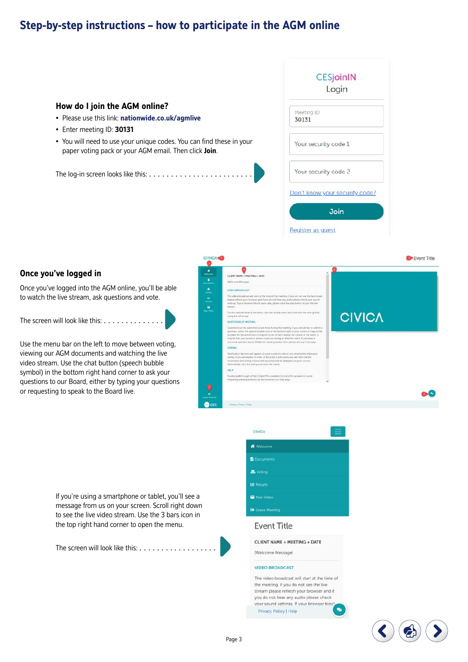# **Step-by-step instructions – how to participate in the AGM online**

# **CESjoinIN** Login **How do I join the AGM online?**  Meeting ID • Please use this link: **[nationwide.co.uk/agmlive](http://nationwide.co.uk/agmlive)** 30131 • Enter meeting ID: **30131** • You will need to use your unique codes. You can find these in your Your security code 1 paper voting pack or your AGM email. Then click **Join**. Your security code 2 The log-in screen looks like this: . . . . . . . . . . . Don't know your security code? Join Register as quest

#### **Once you've logged in**

Once you've logged into the AGM online, you'll be able to watch the live stream, ask questions and vote.

The screen will look like this: . . . . .

Use the menu bar on the left to move between voting, viewing our AGM documents and watching the live video stream. Use the chat button (speech bubble symbol) in the bottom right hand corner to ask your questions to our Board, either by typing your questions or requesting to speak to the Board live.



If you're using a smartphone or tablet, you'll see a message from us on your screen. Scroll right down to see the live video stream. Use the 3 bars icon in the top right hand corner to open the menu.

The screen will look like this: . . . . . . .

| <b>CIVICA</b>           |  |
|-------------------------|--|
| Welcome                 |  |
| <b>Documents</b>        |  |
| <b>显</b> Voting         |  |
| <b>LM</b> Results       |  |
| Max Video               |  |
| <b>Co</b> Leave Meeting |  |
|                         |  |

#### **Event Title**

CLIENT NAME + MEETING + DATE

**IWelcome Messagel** 

#### **VIDEO BROADCAST**

The video broadcast will start at the time of the meeting, if you do not see the live stream please refresh your browser and if you do not hear any audio please check your sound settings. If your browser bloc  $\bullet$ Privacy Policy | Help

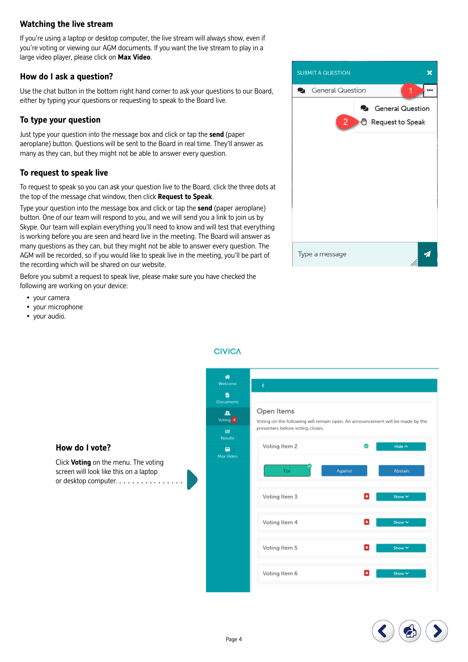#### **Watching the live stream**

If you're using a laptop or desktop computer, the live stream will always show, even if you're voting or viewing our AGM documents. If you want the live stream to play in a large video player, please click on **Max Video**.

#### **How do I ask a question?**

Use the chat button in the bottom right hand corner to ask your questions to our Board, either by typing your questions or requesting to speak to the Board live.

#### **To type your question**

Just type your question into the message box and click or tap the **send** (paper aeroplane) button. Questions will be sent to the Board in real time. They'll answer as many as they can, but they might not be able to answer every question.

#### **To request to speak live**

To request to speak so you can ask your question live to the Board, click the three dots at the top of the message chat window, then click **Request to Speak**.

Type your question into the message box and click or tap the **send** (paper aeroplane) button. One of our team will respond to you, and we will send you a link to join us by Skype. Our team will explain everything you'll need to know and will test that everything is working before you are seen and heard live in the meeting. The Board will answer as many questions as they can, but they might not be able to answer every question. The AGM will be recorded, so if you would like to speak live in the meeting, you'll be part of the recording which will be shared on our website.

Before you submit a request to speak live, please make sure you have checked the following are working on your device:

- your camera
- your microphone
- your audio.



### ∦ в Open Items 風 Voting<sup>2</sup> Voting on the following will remain open. An announcement will be made by the presenters before voting closes. 画 **Results** Voting Item 2 Hide A  $\blacksquare$ May Video Fo. **Abstai** Voting Item 3 Voting Item 4 Voting Item 5 Voting Item 6



#### **How do I vote?**

or desktop computer. . . . . . . . . . . . . . . . . Click **Voting** on the menu. The voting screen will look like this on a laptop

**CIVICA**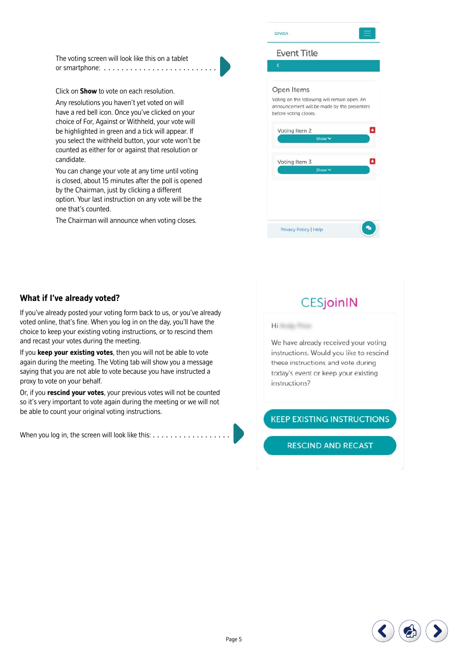The voting screen will look like this on a tablet or smartphone: . . . . . . . . . . . . . . . . . . . . . . . . . .

Click on **Show** to vote on each resolution.

Any resolutions you haven't yet voted on will have a red bell icon. Once you've clicked on your choice of For, Against or Withheld, your vote will be highlighted in green and a tick will appear. If you select the withheld button, your vote won't be counted as either for or against that resolution or candidate.

You can change your vote at any time until voting is closed, about 15 minutes after the poll is opened by the Chairman, just by clicking a different option. Your last instruction on any vote will be the one that's counted.

The Chairman will announce when voting closes.

#### **Event Title**

#### Open Items

Voting on the following will remain open. An announcement will be made by the presenters before voting closes.



#### **What if I've already voted?**

If you've already posted your voting form back to us, or you've already voted online, that's fine. When you log in on the day, you'll have the choice to keep your existing voting instructions, or to rescind them and recast your votes during the meeting.

If you **keep your existing votes**, then you will not be able to vote again during the meeting. The Voting tab will show you a message saying that you are not able to vote because you have instructed a proxy to vote on your behalf.

Or, if you **rescind your votes**, your previous votes will not be counted so it's very important to vote again during the meeting or we will not be able to count your original voting instructions.

When you log in, the screen will look like this:  $\dots\dots\dots\dots\dots\dots$ 

# **CESjoinIN**

**Hilling** 

We have already received your voting instructions. Would you like to rescind these instructions and vote during today's event or keep your existing instructions?

#### **KEEP EXISTING INSTRUCTIONS**

**RESCIND AND RECAST** 

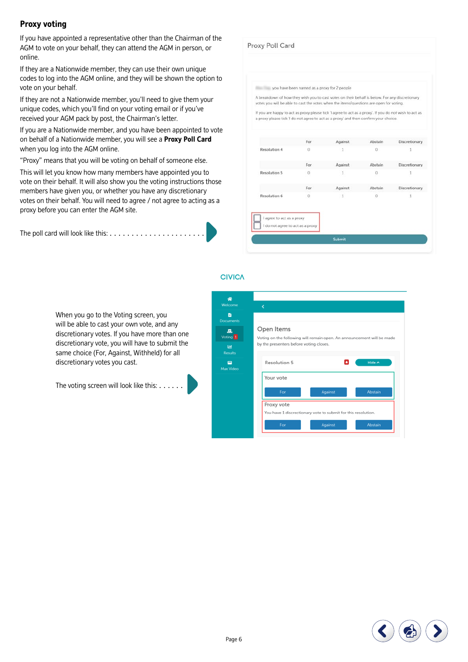#### **Proxy voting**

If you have appointed a representative other than the Chairman of the AGM to vote on your behalf, they can attend the AGM in person, or online.

If they are a Nationwide member, they can use their own unique codes to log into the AGM online, and they will be shown the option to vote on your behalf.

If they are not a Nationwide member, you'll need to give them your unique codes, which you'll find on your voting email or if you've received your AGM pack by post, the Chairman's letter.

If you are a Nationwide member, and you have been appointed to vote on behalf of a Nationwide member, you will see a **Proxy Poll Card** when you log into the AGM online.

"Proxy" means that you will be voting on behalf of someone else.

This will let you know how many members have appointed you to vote on their behalf. It will also show you the voting instructions those members have given you, or whether you have any discretionary votes on their behalf. You will need to agree / not agree to acting as a proxy before you can enter the AGM site.

| The poll card will look like this: $\ldots \ldots \ldots \ldots \ldots \ldots$ |  |
|--------------------------------------------------------------------------------|--|
|--------------------------------------------------------------------------------|--|

Proxy Poll Card you have been named as a proxy for 2 people A breakdown of how they wish you to cast votes on their behalf is below. For any discretion wites you will be able to cast the votes when the items/miestions are onen for voting If you are happy to act as proxy please tick 'l agree to act as a proxy'. If you do not wish to act as a proxy please tick 'I do not agree to act as a proxy' and then confirm your choice. For Abstain Discretionary Against **Resolution 4**  $\sqrt{2}$  $\overline{1}$  $\alpha$  $\overline{A}$ For Against Abstain Discretionary Resolution 5  $\theta$  $\overline{0}$  $\mathbf{1}$  $\mathbf{1}$ Against For Abstain Discretionary **Resolution 6**  $\overline{0}$  $\overline{1}$  $\overline{0}$  $\overline{1}$ I agree to act as a proxy I do not agree to act as a proxy

Submit

**CIVICA** 

When you go to the Voting screen, you will be able to cast your own vote, and any discretionary votes. If you have more than one discretionary vote, you will have to submit the same choice (For, Against, Withheld) for all discretionary votes you cast.

The voting screen will look like this:  $\dots \dots$